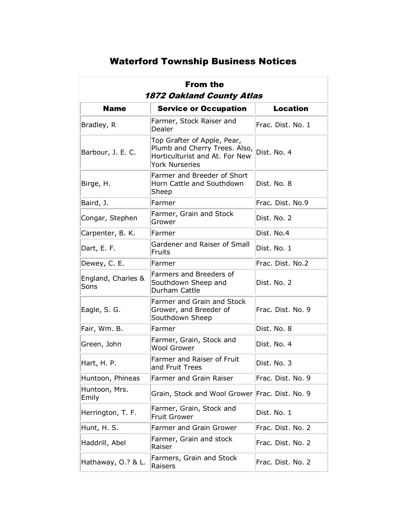## Waterford Township Business Notices

| <b>From the</b><br>1872 Oakland County Atlas |                                                                                                                         |                   |  |
|----------------------------------------------|-------------------------------------------------------------------------------------------------------------------------|-------------------|--|
| <b>Name</b>                                  | <b>Service or Occupation</b>                                                                                            | <b>Location</b>   |  |
| Bradley, R                                   | Farmer, Stock Raiser and<br>Dealer                                                                                      | Frac. Dist. No. 1 |  |
| Barbour, J. E. C.                            | Top Grafter of Apple, Pear,<br>Plumb and Cherry Trees. Also,<br>Horticulturist and At. For New<br><b>York Nurseries</b> | Dist. No. 4       |  |
| Birge, H.                                    | Farmer and Breeder of Short<br>Horn Cattle and Southdown<br>Sheep                                                       | Dist. No. 8       |  |
| Baird, J.                                    | Farmer                                                                                                                  | Frac. Dist. No.9  |  |
| Congar, Stephen                              | Farmer, Grain and Stock<br>Grower                                                                                       | Dist. No. 2       |  |
| Carpenter, B. K.                             | Farmer                                                                                                                  | Dist. No.4        |  |
| Dart, E. F.                                  | Gardener and Raiser of Small<br>Fruits                                                                                  | Dist. No. 1       |  |
| Dewey, C. E.                                 | Farmer                                                                                                                  | Frac. Dist. No.2  |  |
| England, Charles &<br>Sons                   | Farmers and Breeders of<br>Southdown Sheep and<br>Durham Cattle                                                         | Dist. No. 2       |  |
| Eagle, S. G.                                 | Farmer and Grain and Stock<br>Grower, and Breeder of<br>Southdown Sheep                                                 | Frac. Dist. No. 9 |  |
| Fair, Wm. B.                                 | Farmer                                                                                                                  | Dist. No. 8       |  |
| Green, John                                  | Farmer, Grain, Stock and<br><b>Wool Grower</b>                                                                          | Dist. No. 4       |  |
| Hart, H. P.                                  | Farmer and Raiser of Fruit<br>and Fruit Trees                                                                           | Dist. No. 3       |  |
| Huntoon, Phineas                             | Farmer and Grain Raiser                                                                                                 | Frac. Dist. No. 9 |  |
| Huntoon, Mrs.<br>Emily                       | Grain, Stock and Wool Grower Frac. Dist. No. 9                                                                          |                   |  |
| Herrington, T. F.                            | Farmer, Grain, Stock and<br><b>Fruit Grower</b>                                                                         | Dist. No. 1       |  |
| Hunt, H. S.                                  | Farmer and Grain Grower                                                                                                 | Frac. Dist. No. 2 |  |
| Haddrill, Abel                               | Farmer, Grain and stock<br>Raiser                                                                                       | Frac. Dist. No. 2 |  |
| Hathaway, O.? & L.                           | Farmers, Grain and Stock<br>Raisers                                                                                     | Frac. Dist. No. 2 |  |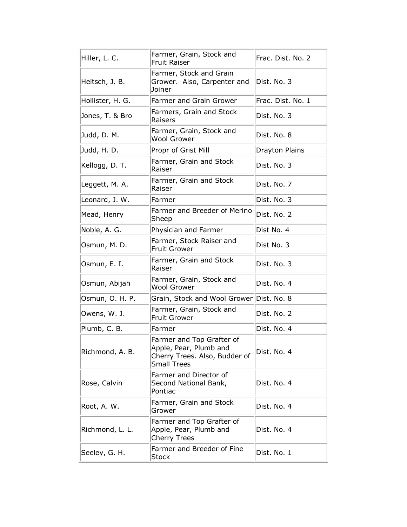| Hiller, L. C.    | Farmer, Grain, Stock and<br><b>Fruit Raiser</b>                                                            | Frac. Dist. No. 2 |
|------------------|------------------------------------------------------------------------------------------------------------|-------------------|
| Heitsch, J. B.   | Farmer, Stock and Grain<br>Grower. Also, Carpenter and<br>Joiner                                           | Dist. No. 3       |
| Hollister, H. G. | Farmer and Grain Grower                                                                                    | Frac. Dist. No. 1 |
| Jones, T. & Bro  | Farmers, Grain and Stock<br>Raisers                                                                        | Dist. No. 3       |
| Judd, D. M.      | Farmer, Grain, Stock and<br><b>Wool Grower</b>                                                             | Dist. No. 8       |
| Judd, H. D.      | Propr of Grist Mill                                                                                        | Drayton Plains    |
| Kellogg, D. T.   | Farmer, Grain and Stock<br>Raiser                                                                          | Dist. No. 3       |
| Leggett, M. A.   | Farmer, Grain and Stock<br>Raiser                                                                          | Dist. No. 7       |
| Leonard, J. W.   | Farmer                                                                                                     | Dist. No. 3       |
| Mead, Henry      | Farmer and Breeder of Merino<br>Sheep                                                                      | Dist. No. 2       |
| Noble, A. G.     | Physician and Farmer                                                                                       | Dist No. 4        |
| Osmun, M. D.     | Farmer, Stock Raiser and<br><b>Fruit Grower</b>                                                            | Dist No. 3        |
| Osmun, E. I.     | Farmer, Grain and Stock<br>Raiser                                                                          | Dist. No. 3       |
| Osmun, Abijah    | Farmer, Grain, Stock and<br><b>Wool Grower</b>                                                             | Dist. No. 4       |
| Osmun, O. H. P.  | Grain, Stock and Wool Grower Dist. No. 8                                                                   |                   |
| Owens, W. J.     | Farmer, Grain, Stock and<br><b>Fruit Grower</b>                                                            | Dist. No. 2       |
| Plumb, C. B.     | Farmer                                                                                                     | Dist. No. 4       |
| Richmond, A. B.  | Farmer and Top Grafter of<br>Apple, Pear, Plumb and<br>Cherry Trees. Also, Budder of<br><b>Small Trees</b> | Dist. No. 4       |
| Rose, Calvin     | Farmer and Director of<br>Second National Bank,<br>Pontiac                                                 | Dist. No. 4       |
| Root, A. W.      | Farmer, Grain and Stock<br>Grower                                                                          | Dist. No. 4       |
| Richmond, L. L.  | Farmer and Top Grafter of<br>Apple, Pear, Plumb and<br><b>Cherry Trees</b>                                 | Dist. No. 4       |
| Seeley, G. H.    | Farmer and Breeder of Fine<br>Stock                                                                        | Dist. No. 1       |